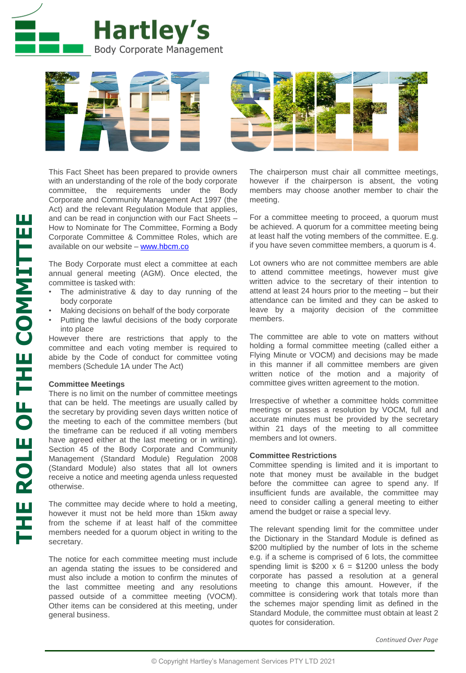



This Fact Sheet has been prepared to provide owners with an understanding of the role of the body corporate committee, the requirements under the Body Corporate and Community Management Act 1997 (the Act) and the relevant Regulation Module that applies, and can be read in conjunction with our Fact Sheets – How to Nominate for The Committee, Forming a Body Corporate Committee & Committee Roles, which are available on our website – [www.hbcm.co](http://www.hbcm.co/) 

The Body Corporate must elect a committee at each annual general meeting (AGM). Once elected, the committee is tasked with:

- The administrative & day to day running of the body corporate
- Making decisions on behalf of the body corporate
- Putting the lawful decisions of the body corporate into place

However there are restrictions that apply to the committee and each voting member is required to abide by the Code of conduct for committee voting members (Schedule 1A under The Act)

## **Committee Meetings**

There is no limit on the number of committee meetings that can be held. The meetings are usually called by the secretary by providing seven days written notice of the meeting to each of the committee members (but the timeframe can be reduced if all voting members have agreed either at the last meeting or in writing). Section 45 of the Body Corporate and Community Management (Standard Module) Regulation 2008 (Standard Module) also states that all lot owners receive a notice and meeting agenda unless requested otherwise.

The committee may decide where to hold a meeting, however it must not be held more than 15km away from the scheme if at least half of the committee members needed for a quorum object in writing to the secretary.

The notice for each committee meeting must include an agenda stating the issues to be considered and must also include a motion to confirm the minutes of the last committee meeting and any resolutions passed outside of a committee meeting (VOCM). Other items can be considered at this meeting, under general business.

The chairperson must chair all committee meetings, however if the chairperson is absent, the voting members may choose another member to chair the meeting.

For a committee meeting to proceed, a quorum must be achieved. A quorum for a committee meeting being at least half the voting members of the committee. E.g. if you have seven committee members, a quorum is 4.

Lot owners who are not committee members are able to attend committee meetings, however must give written advice to the secretary of their intention to attend at least 24 hours prior to the meeting – but their attendance can be limited and they can be asked to leave by a majority decision of the committee members.

The committee are able to vote on matters without holding a formal committee meeting (called either a Flying Minute or VOCM) and decisions may be made in this manner if all committee members are given written notice of the motion and a majority of committee gives written agreement to the motion.

Irrespective of whether a committee holds committee meetings or passes a resolution by VOCM, full and accurate minutes must be provided by the secretary within 21 days of the meeting to all committee members and lot owners.

## **Committee Restrictions**

Committee spending is limited and it is important to note that money must be available in the budget before the committee can agree to spend any. If insufficient funds are available, the committee may need to consider calling a general meeting to either amend the budget or raise a special levy.

The relevant spending limit for the committee under the Dictionary in the Standard Module is defined as \$200 multiplied by the number of lots in the scheme e.g. if a scheme is comprised of 6 lots, the committee spending limit is  $$200 \times 6 = $1200$  unless the body corporate has passed a resolution at a general meeting to change this amount. However, if the committee is considering work that totals more than the schemes major spending limit as defined in the Standard Module, the committee must obtain at least 2 quotes for consideration.